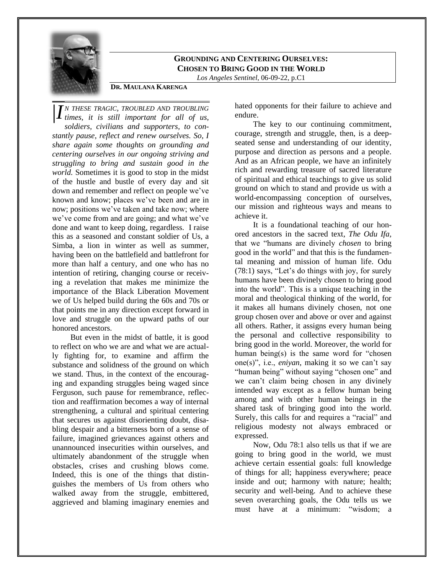

## **GROUNDING AND CENTERING OURSELVES: CHOSEN TO BRING GOOD IN THE WORLD**

*Los Angeles Sentinel*, 06-09-22, p.C1

## **DR. MAULANA KARENGA**

*N THESE TRAGIC, TROUBLED AND TROUBLING times, it is still important for all of us,*  |*Isoldiers, civilians and supporters, to constantly pause, reflect and renew ourselves. So, I share again some thoughts on grounding and centering ourselves in our ongoing striving and struggling to bring and sustain good in the world.* Sometimes it is good to stop in the midst of the hustle and bustle of every day and sit down and remember and reflect on people we've known and know; places we've been and are in now; positions we've taken and take now; where we've come from and are going; and what we've done and want to keep doing, regardless. I raise this as a seasoned and constant soldier of Us, a Simba, a lion in winter as well as summer, having been on the battlefield and battlefront for more than half a century, and one who has no intention of retiring, changing course or receiving a revelation that makes me minimize the importance of the Black Liberation Movement we of Us helped build during the 60s and 70s or that points me in any direction except forward in love and struggle on the upward paths of our honored ancestors.

But even in the midst of battle, it is good to reflect on who we are and what we are actually fighting for, to examine and affirm the substance and solidness of the ground on which we stand. Thus, in the context of the encouraging and expanding struggles being waged since Ferguson, such pause for remembrance, reflection and reaffirmation becomes a way of internal strengthening, a cultural and spiritual centering that secures us against disorienting doubt, disabling despair and a bitterness born of a sense of failure, imagined grievances against others and unannounced insecurities within ourselves, and ultimately abandonment of the struggle when obstacles, crises and crushing blows come. Indeed, this is one of the things that distinguishes the members of Us from others who walked away from the struggle, embittered, aggrieved and blaming imaginary enemies and

hated opponents for their failure to achieve and endure.

The key to our continuing commitment, courage, strength and struggle, then, is a deepseated sense and understanding of our identity, purpose and direction as persons and a people. And as an African people, we have an infinitely rich and rewarding treasure of sacred literature of spiritual and ethical teachings to give us solid ground on which to stand and provide us with a world-encompassing conception of ourselves, our mission and righteous ways and means to achieve it.

It is a foundational teaching of our honored ancestors in the sacred text, *The Odu Ifa,*  that we "humans are divinely *chosen* to bring good in the world" and that this is the fundamental meaning and mission of human life. Odu (78:1) says, "Let's do things with joy, for surely humans have been divinely chosen to bring good into the world". This is a unique teaching in the moral and theological thinking of the world, for it makes all humans divinely chosen, not one group chosen over and above or over and against all others. Rather, it assigns every human being the personal and collective responsibility to bring good in the world. Moreover, the world for human being $(s)$  is the same word for "chosen" one(s)", i.e., *eniyan*, making it so we can't say "human being" without saying "chosen one" and we can't claim being chosen in any divinely intended way except as a fellow human being among and with other human beings in the shared task of bringing good into the world. Surely, this calls for and requires a "racial" and religious modesty not always embraced or expressed.

Now, Odu 78:1 also tells us that if we are going to bring good in the world, we must achieve certain essential goals: full knowledge of things for all; happiness everywhere; peace inside and out; harmony with nature; health; security and well-being. And to achieve these seven overarching goals, the Odu tells us we must have at a minimum: "wisdom; a